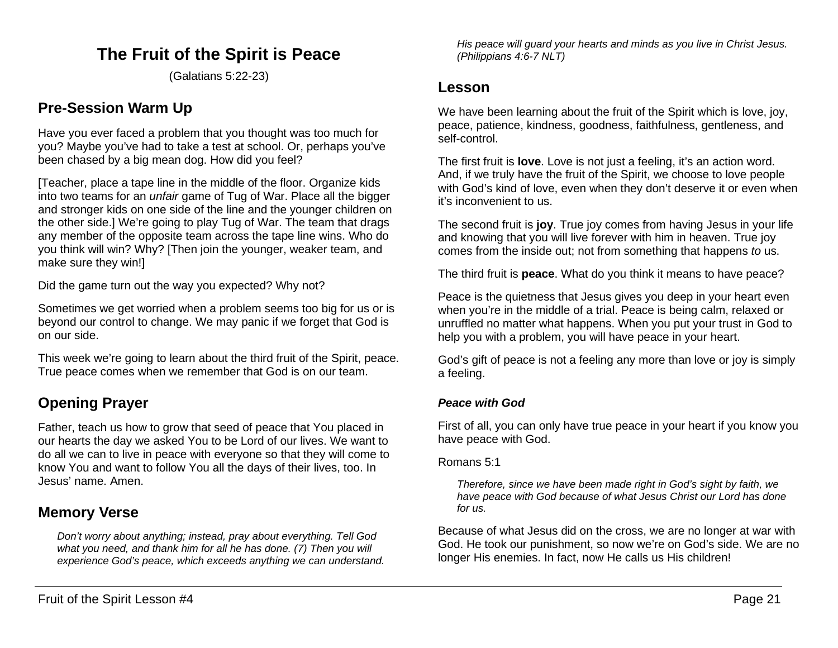# **The Fruit of the Spirit is Peace**

(Galatians 5:22-23)

# **Pre-Session Warm Up**

Have you ever faced a problem that you thought was too much for you? Maybe you've had to take a test at school. Or, perhaps you've been chased by a big mean dog. How did you feel?

[Teacher, place a tape line in the middle of the floor. Organize kids into two teams for an *unfair* game of Tug of War. Place all the bigger and stronger kids on one side of the line and the younger children on the other side.] We're going to play Tug of War. The team that drags any member of the opposite team across the tape line wins. Who do you think will win? Why? [Then join the younger, weaker team, and make sure they win!]

Did the game turn out the way you expected? Why not?

Sometimes we get worried when a problem seems too big for us or is beyond our control to change. We may panic if we forget that God is on our side.

This week we're going to learn about the third fruit of the Spirit, peace. True peace comes when we remember that God is on our team.

# **Opening Prayer**

Father, teach us how to grow that seed of peace that You placed in our hearts the day we asked You to be Lord of our lives. We want to do all we can to live in peace with everyone so that they will come to know You and want to follow You all the days of their lives, too. In Jesus' name. Amen.

# **Memory Verse**

*Don't worry about anything; instead, pray about everything. Tell God what you need, and thank him for all he has done. (7) Then you will experience God's peace, which exceeds anything we can understand.* 

*His peace will guard your hearts and minds as you live in Christ Jesus. (Philippians 4:6-7 NLT)*

## **Lesson**

We have been learning about the fruit of the Spirit which is love, joy, peace, patience, kindness, goodness, faithfulness, gentleness, and self-control.

The first fruit is **love**. Love is not just a feeling, it's an action word. And, if we truly have the fruit of the Spirit, we choose to love people with God's kind of love, even when they don't deserve it or even when it's inconvenient to us.

The second fruit is **joy**. True joy comes from having Jesus in your life and knowing that you will live forever with him in heaven. True joy comes from the inside out; not from something that happens *to* us.

The third fruit is **peace**. What do you think it means to have peace?

Peace is the quietness that Jesus gives you deep in your heart even when you're in the middle of a trial. Peace is being calm, relaxed or unruffled no matter what happens. When you put your trust in God to help you with a problem, you will have peace in your heart.

God's gift of peace is not a feeling any more than love or joy is simply a feeling.

### *Peace with God*

First of all, you can only have true peace in your heart if you know you have peace with God.

Romans 5:1

*Therefore, since we have been made right in God's sight by faith, we have peace with God because of what Jesus Christ our Lord has done for us.* 

Because of what Jesus did on the cross, we are no longer at war with God. He took our punishment, so now we're on God's side. We are no longer His enemies. In fact, now He calls us His children!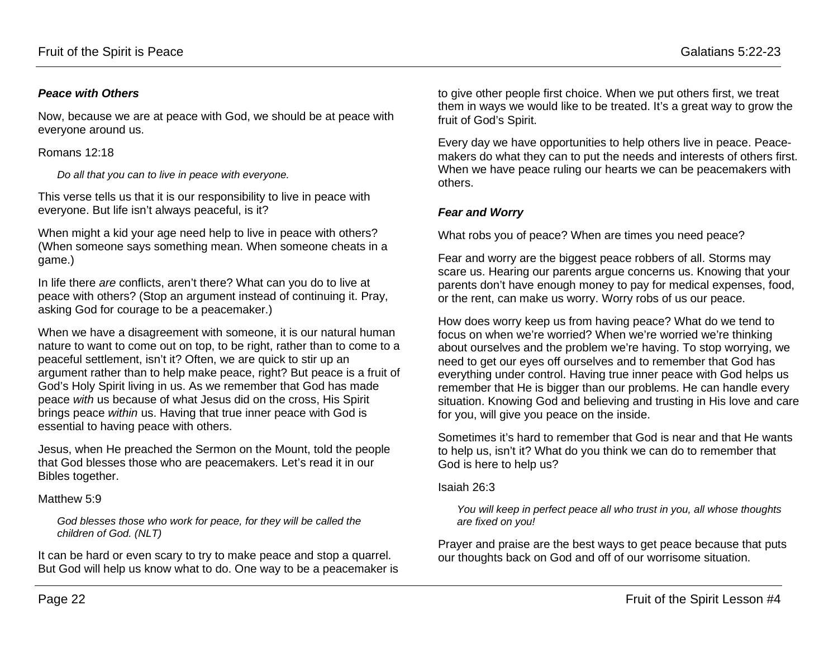#### *Peace with Others*

Now, because we are at peace with God, we should be at peace with everyone around us.

Romans 12:18

*Do all that you can to live in peace with everyone.*

This verse tells us that it is our responsibility to live in peace with everyone. But life isn't always peaceful, is it?

When might a kid your age need help to live in peace with others? (When someone says something mean. When someone cheats in a game.)

In life there *are* conflicts, aren't there? What can you do to live at peace with others? (Stop an argument instead of continuing it. Pray, asking God for courage to be a peacemaker.)

When we have a disagreement with someone, it is our natural human nature to want to come out on top, to be right, rather than to come to a peaceful settlement, isn't it? Often, we are quick to stir up an argument rather than to help make peace, right? But peace is a fruit of God's Holy Spirit living in us. As we remember that God has made peace *with* us because of what Jesus did on the cross, His Spirit brings peace *within* us. Having that true inner peace with God is essential to having peace with others.

Jesus, when He preached the Sermon on the Mount, told the people that God blesses those who are peacemakers. Let's read it in our Bibles together.

#### Matthew 5:9

*God blesses those who work for peace, for they will be called the children of God. (NLT)*

It can be hard or even scary to try to make peace and stop a quarrel. But God will help us know what to do. One way to be a peacemaker is

to give other people first choice. When we put others first, we treat them in ways we would like to be treated. It's a great way to grow the fruit of God's Spirit.

Every day we have opportunities to help others live in peace. Peacemakers do what they can to put the needs and interests of others first. When we have peace ruling our hearts we can be peacemakers with others.

### *Fear and Worry*

What robs you of peace? When are times you need peace?

Fear and worry are the biggest peace robbers of all. Storms may scare us. Hearing our parents argue concerns us. Knowing that your parents don't have enough money to pay for medical expenses, food, or the rent, can make us worry. Worry robs of us our peace.

How does worry keep us from having peace? What do we tend to focus on when we're worried? When we're worried we're thinking about ourselves and the problem we're having. To stop worrying, we need to get our eyes off ourselves and to remember that God has everything under control. Having true inner peace with God helps us remember that He is bigger than our problems. He can handle every situation. Knowing God and believing and trusting in His love and care for you, will give you peace on the inside.

Sometimes it's hard to remember that God is near and that He wants to help us, isn't it? What do you think we can do to remember that God is here to help us?

#### Isaiah 26:3

*You will keep in perfect peace all who trust in you, all whose thoughts are fixed on you!*

Prayer and praise are the best ways to get peace because that puts our thoughts back on God and off of our worrisome situation.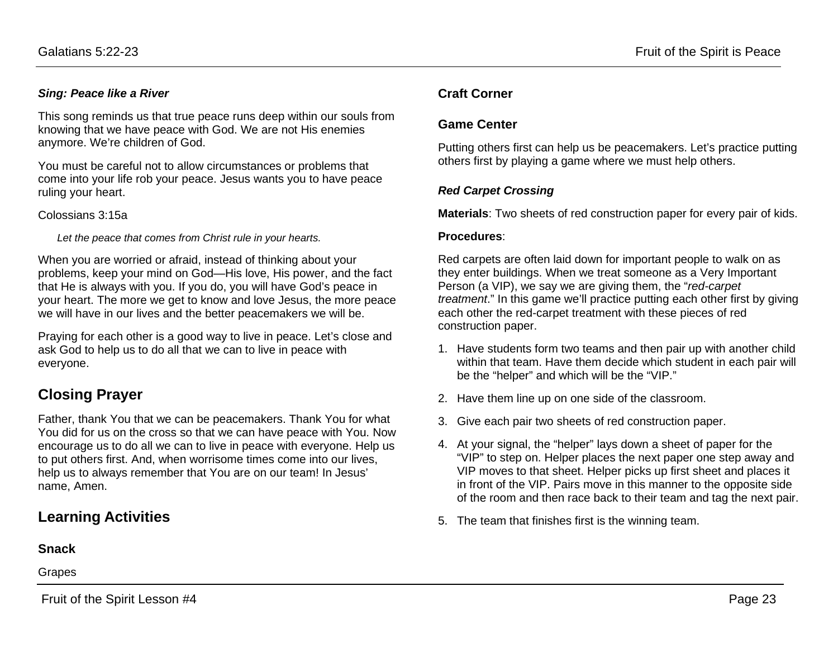### *Sing: Peace like a River*

This song reminds us that true peace runs deep within our souls from knowing that we have peace with God. We are not His enemies anymore. We're children of God.

You must be careful not to allow circumstances or problems that come into your life rob your peace. Jesus wants you to have peace ruling your heart.

#### Colossians 3:15a

*Let the peace that comes from Christ rule in your hearts.*

When you are worried or afraid, instead of thinking about your problems, keep your mind on God—His love, His power, and the fact that He is always with you. If you do, you will have God's peace in your heart. The more we get to know and love Jesus, the more peace we will have in our lives and the better peacemakers we will be.

Praying for each other is a good way to live in peace. Let's close and ask God to help us to do all that we can to live in peace with everyone.

# **Closing Prayer**

Father, thank You that we can be peacemakers. Thank You for what You did for us on the cross so that we can have peace with You. Now encourage us to do all we can to live in peace with everyone. Help us to put others first. And, when worrisome times come into our lives, help us to always remember that You are on our team! In Jesus' name, Amen.

# **Learning Activities**

## **Snack**

Grapes

## **Craft Corner**

## **Game Center**

Putting others first can help us be peacemakers. Let's practice putting others first by playing a game where we must help others.

### *Red Carpet Crossing*

**Materials**: Two sheets of red construction paper for every pair of kids.

#### **Procedures**:

Red carpets are often laid down for important people to walk on as they enter buildings. When we treat someone as a Very Important Person (a VIP), we say we are giving them, the "*red-carpet treatment*." In this game we'll practice putting each other first by giving each other the red-carpet treatment with these pieces of red construction paper.

- 1. Have students form two teams and then pair up with another child within that team. Have them decide which student in each pair will be the "helper" and which will be the "VIP."
- 2. Have them line up on one side of the classroom.
- 3. Give each pair two sheets of red construction paper.
- 4. At your signal, the "helper" lays down a sheet of paper for the "VIP" to step on. Helper places the next paper one step away and VIP moves to that sheet. Helper picks up first sheet and places it in front of the VIP. Pairs move in this manner to the opposite side of the room and then race back to their team and tag the next pair.
- 5. The team that finishes first is the winning team.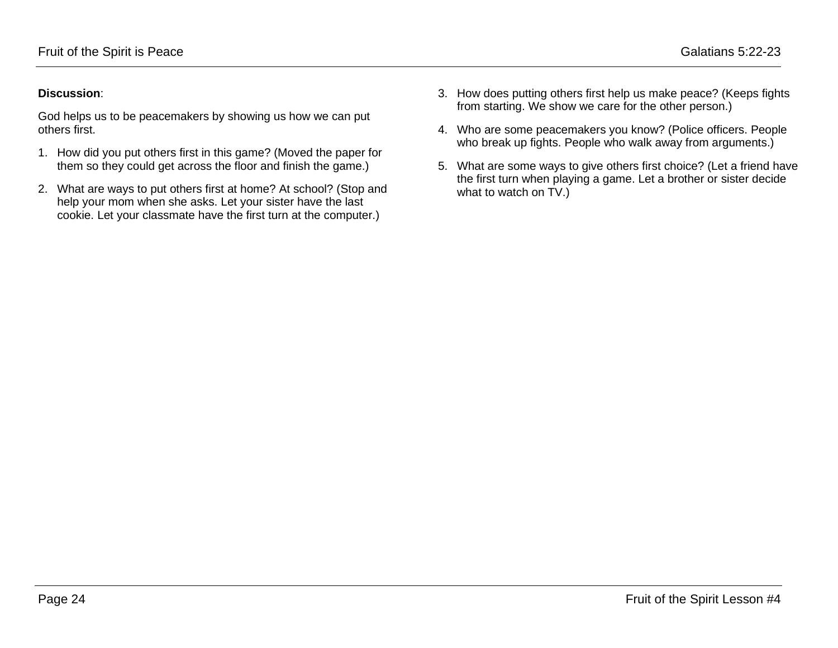### **Discussion**:

God helps us to be peacemakers by showing us how we can put others first.

- 1. How did you put others first in this game? (Moved the paper for them so they could get across the floor and finish the game.)
- 2. What are ways to put others first at home? At school? (Stop and help your mom when she asks. Let your sister have the last cookie. Let your classmate have the first turn at the computer.)
- 3. How does putting others first help us make peace? (Keeps fights from starting. We show we care for the other person.)
- 4. Who are some peacemakers you know? (Police officers. People who break up fights. People who walk away from arguments.)
- 5. What are some ways to give others first choice? (Let a friend have the first turn when playing a game. Let a brother or sister decide what to watch on TV.)